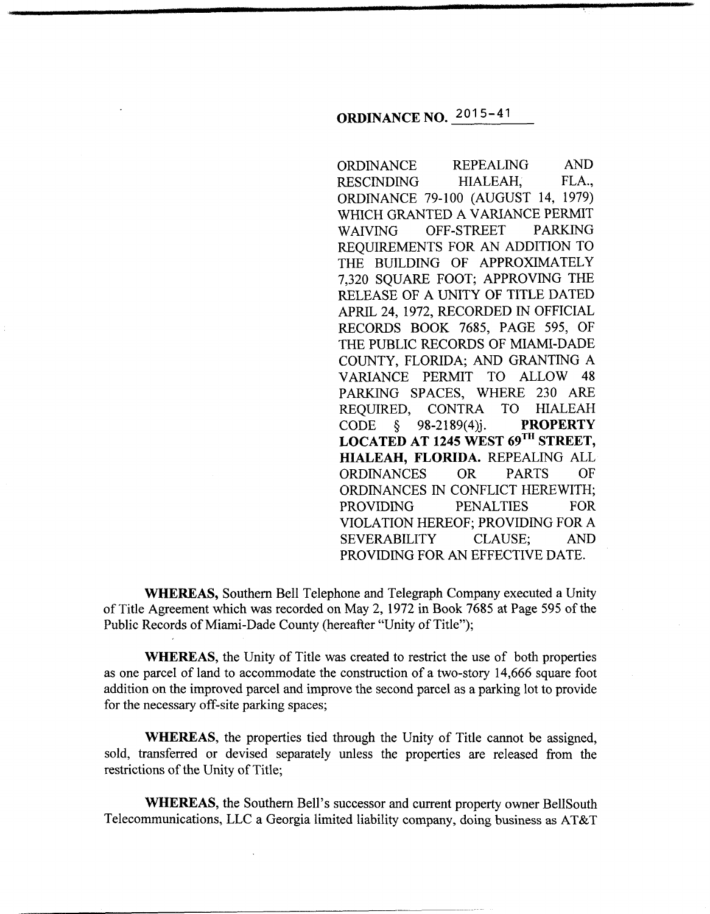# **ORDINANCE NO.** 2015- <sup>41</sup>

ORDINANCE REPEALING AND RESCINDING HIALEAH, FLA., ORDINANCE 79-100 (AUGUST 14, 1979) WHICH GRANTED A VARIANCE PERMIT WAIVING OFF-STREET PARKING REQUIREMENTS FOR AN ADDITION TO THE BUILDING OF APPROXIMATELY 7,320 SQUARE FOOT; APPROVING THE RELEASE OF A UNITY OF TITLE DATED APRIL 24, 1972, RECORDED IN OFFICIAL RECORDS BOOK 7685, PAGE 595, OF THE PUBLIC RECORDS OF MIAMI-DADE COUNTY, FLORIDA; AND GRANTING A VARIANCE PERMIT TO ALLOW 48 PARKING SPACES, WHERE 230 ARE REQUIRED, CONTRA TO HIALEAH CODE § 98-2189(4)j. **PROPERTY LOCATED AT 1245 WEST 69TH STREET, HIALEAH, FLORIDA.** REPEALING ALL ORDINANCES OR PARTS OF ORDINANCES IN CONFLICT HEREWITH; PROVIDING PENALTIES FOR VIOLATION HEREOF; PROVIDING FOR A SEVERABILITY CLAUSE; AND PROVIDING FOR AN EFFECTIVE DATE.

**WHEREAS,** Southern Bell Telephone and Telegraph Company executed a Unity of Title Agreement which was recorded on May 2, 1972 in Book 7685 at Page 595 of the Public Records of Miami-Dade County (hereafter "Unity of Title");

**WHEREAS,** the Unity of Title was created to restrict the use of both properties as one parcel of land to accommodate the construction of a two-story 14,666 square foot addition on the improved parcel and improve the second parcel as a parking lot to provide for the necessary off-site parking spaces;

**WHEREAS,** the properties tied through the Unity of Title cannot be assigned, sold, transferred or devised separately unless the properties are released from the restrictions of the Unity of Title;

**WHEREAS,** the Southern Bell's successor and current property owner BellSouth Telecommunications, LLC a Georgia limited liability company, doing business as AT&T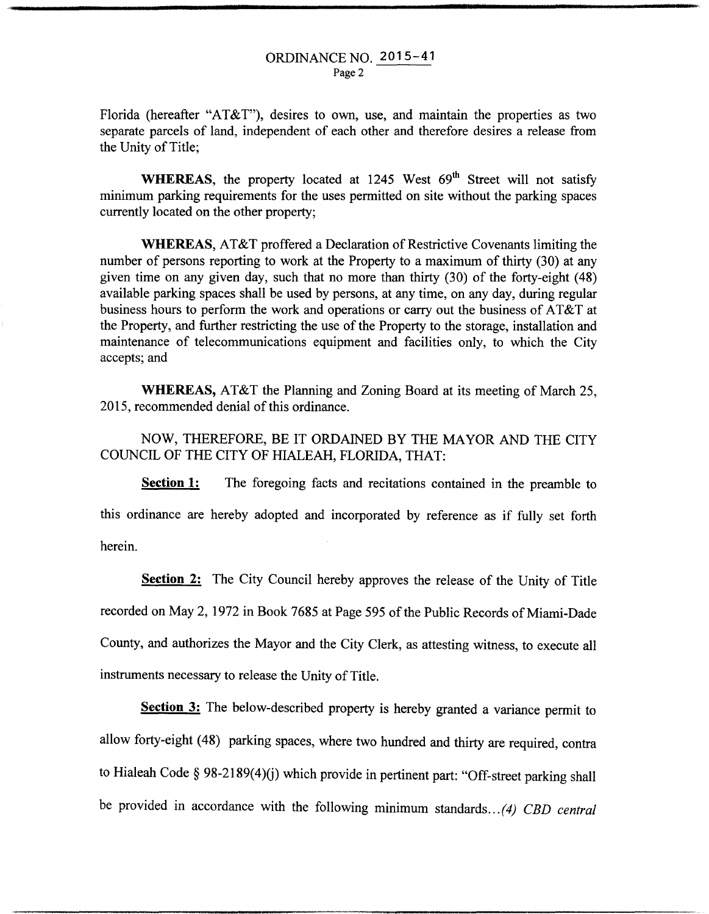Florida (hereafter "AT&T"), desires to own, use, and maintain the properties as two separate parcels of land, independent of each other and therefore desires a release from the Unity of Title;

WHEREAS, the property located at 1245 West 69<sup>th</sup> Street will not satisfy minimum parking requirements for the uses permitted on site without the parking spaces currently located on the other property;

**WHEREAS,** AT&T proffered a Declaration of Restrictive Covenants limiting the number of persons reporting to work at the Property to a maximum of thirty (30) at any given time on any given day, such that no more than thirty (30) of the forty-eight (48) available parking spaces shall be used by persons, at any time, on any day, during regular business hours to perform the work and operations or carry out the business of AT&T at the Property, and further restricting the use of the Property to the storage, installation and maintenance of telecommunications equipment and facilities only, to which the City accepts; and

**WHEREAS,** AT&T the Planning and Zoning Board at its meeting of March 25, 2015, recommended denial of this ordinance.

NOW, THEREFORE, BE IT ORDAINED BY THE MAYOR AND THE CITY COUNCIL OF THE CITY OF HIALEAH, FLORIDA, THAT:

**Section 1:** The foregoing facts and recitations contained in the preamble to this ordinance are hereby adopted and incorporated by reference as if fully set forth herein.

**Section 2:** The City Council hereby approves the release of the Unity of Title recorded on May 2, 1972 in Book 7685 at Page 595 of the Public Records of Miami-Dade County, and authorizes the Mayor and the City Clerk, as attesting witness, to execute all instruments necessary to release the Unity of Title.

**Section 3:** The below-described property is hereby granted a variance permit to allow forty-eight ( 48) parking spaces, where two hundred and thirty are required, contra to Hialeah Code § 98-2189(4)(j) which provide in pertinent part: "Off-street parking shall be provided in accordance with the following minimum standards .. *. (4) CBD central*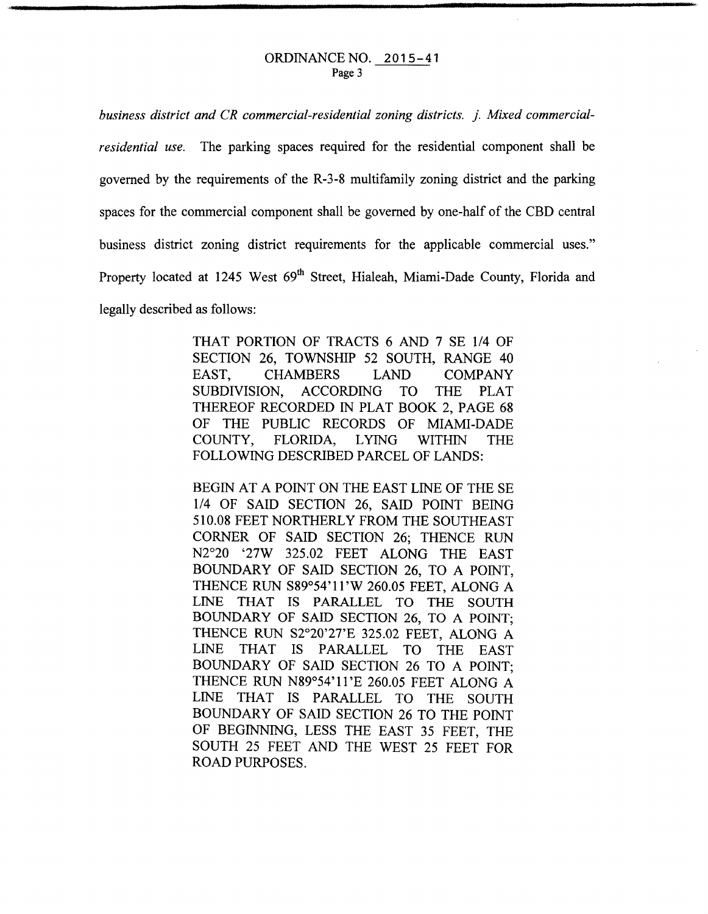#### ORDINANCE NO. 2015-41 Page 3

*business district and CR commercial-residential zoning districts.* j. *Mixed commercialresidential use.* The parking spaces required for the residential component shall be governed by the requirements of the R-3-8 multifamily zoning district and the parking spaces for the commercial component shall be governed by one-half of the CBD central business district zoning district requirements for the applicable commercial uses." Property located at 1245 West 69<sup>th</sup> Street, Hialeah, Miami-Dade County, Florida and legally described as follows:

> THAT PORTION OF TRACTS 6 AND 7 SE 1/4 OF SECTION 26, TOWNSHIP 52 SOUTH, RANGE 40 EAST, CHAMBERS LAND COMPANY SUBDIVISION, ACCORDING TO THE PLAT THEREOF RECORDED IN PLAT BOOK 2, PAGE 68 OF THE PUBLIC RECORDS OF MIAMI-DADE COUNTY, FLORIDA, LYING WITHIN THE FOLLOWING DESCRIBED PARCEL OF LANDS:

> BEGIN AT A POINT ON THE EAST LINE OF THE SE 114 OF SAID SECTION 26, SAID POINT BEING 510.08 FEET NORTHERLY FROM THE SOUTHEAST CORNER OF SAID SECTION 26; THENCE RUN N2°20 '27W 325.02 FEET ALONG THE EAST BOUNDARY OF SAID SECTION 26, TO A POINT, THENCE RUN S89°54'11 'W 260.05 FEET, ALONG A LINE THAT IS PARALLEL TO THE SOUTH BOUNDARY OF SAID SECTION 26, TO A POINT; THENCE RUN S2°20'27'E 325.02 FEET, ALONG A LINE THAT IS PARALLEL TO THE EAST BOUNDARY OF SAID SECTION 26 TO A POINT; THENCE RUN N89°54'11 'E 260.05 FEET ALONG A LINE THAT IS PARALLEL TO THE SOUTH BOUNDARY OF SAID SECTION 26 TO THE POINT OF BEGINNING, LESS THE EAST 35 FEET, THE SOUTH 25 FEET AND THE WEST 25 FEET FOR ROAD PURPOSES.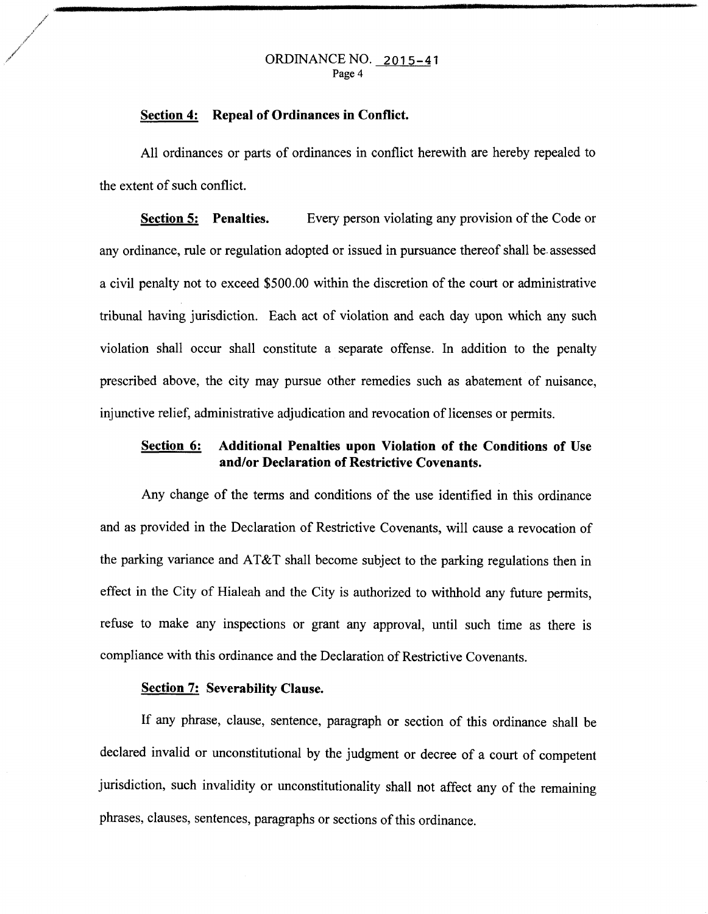#### ORDINANCE NO. 2015-41 Page 4

#### **Section 4: Repeal of Ordinances in Conflict.**

All ordinances or parts of ordinances in conflict herewith are hereby repealed to the extent of such conflict.

**Section 5: Penalties.** Every person violating any provision of the Code or any ordinance, rule or regulation adopted or issued in pursuance thereof shall be. assessed a civil penalty not to exceed \$500.00 within the discretion of the court or administrative tribunal having jurisdiction. Each act of violation and each day upon which any such violation shall occur shall constitute a separate offense. In addition to the penalty prescribed above, the city may pursue other remedies such as abatement of nuisance, injunctive relief, administrative adjudication and revocation of licenses or permits.

## **Section 6: Additional Penalties upon Violation of the Conditions of** Use **and/or Declaration of Restrictive Covenants.**

Any change of the terms and conditions of the use identified in this ordinance and as provided in the Declaration of Restrictive Covenants, will cause a revocation of the parking variance and AT&T shall become subject to the parking regulations then in effect in the City of Hialeah and the City is authorized to withhold any future permits, refuse to make any inspections or grant any approval, until such time as there is compliance with this ordinance and the Declaration of Restrictive Covenants.

### **Section 7: Severability Clause.**

If any phrase, clause, sentence, paragraph or section of this ordinance shall be declared invalid or unconstitutional by the judgment or decree of a court of competent jurisdiction, such invalidity or unconstitutionality shall not affect any of the remaining phrases, clauses, sentences, paragraphs or sections of this ordinance.